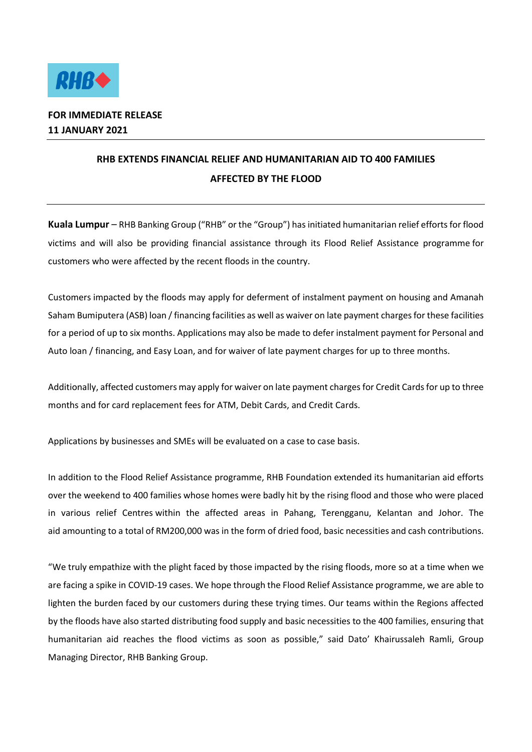

## **FOR IMMEDIATE RELEASE 11 JANUARY 2021**

## **RHB EXTENDS FINANCIAL RELIEF AND HUMANITARIAN AID TO 400 FAMILIES AFFECTED BY THE FLOOD**

**Kuala Lumpur** – RHB Banking Group ("RHB" or the "Group") has initiated humanitarian relief efforts for flood victims and will also be providing financial assistance through its Flood Relief Assistance programme for customers who were affected by the recent floods in the country.

Customers impacted by the floods may apply for deferment of instalment payment on housing and Amanah Saham Bumiputera (ASB) loan / financing facilities as well as waiver on late payment charges for these facilities for a period of up to six months. Applications may also be made to defer instalment payment for Personal and Auto loan / financing, and Easy Loan, and for waiver of late payment charges for up to three months.

Additionally, affected customers may apply for waiver on late payment charges for Credit Cards for up to three months and for card replacement fees for ATM, Debit Cards, and Credit Cards.

Applications by businesses and SMEs will be evaluated on a case to case basis.

In addition to the Flood Relief Assistance programme, RHB Foundation extended its humanitarian aid efforts over the weekend to 400 families whose homes were badly hit by the rising flood and those who were placed in various relief Centres within the affected areas in Pahang, Terengganu, Kelantan and Johor. The aid amounting to a total of RM200,000 was in the form of dried food, basic necessities and cash contributions.

"We truly empathize with the plight faced by those impacted by the rising floods, more so at a time when we are facing a spike in COVID-19 cases. We hope through the Flood Relief Assistance programme, we are able to lighten the burden faced by our customers during these trying times. Our teams within the Regions affected by the floods have also started distributing food supply and basic necessities to the 400 families, ensuring that humanitarian aid reaches the flood victims as soon as possible," said Dato' Khairussaleh Ramli, Group Managing Director, RHB Banking Group.